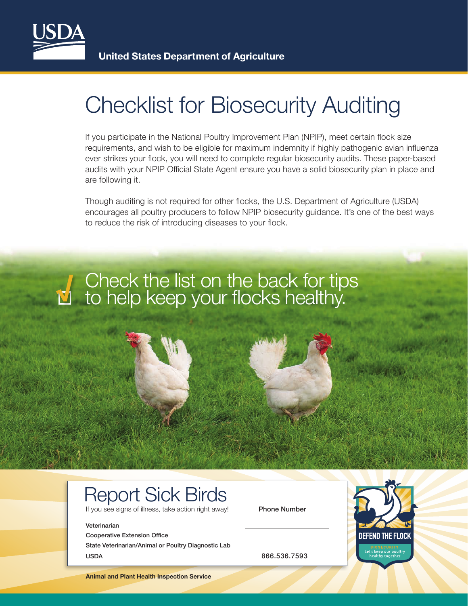

# Checklist for Biosecurity Auditing

If you participate in the National Poultry Improvement Plan (NPIP), meet certain flock size requirements, and wish to be eligible for maximum indemnity if highly pathogenic avian influenza ever strikes your flock, you will need to complete regular biosecurity audits. These paper-based audits with your NPIP Official State Agent ensure you have a solid biosecurity plan in place and are following it.

Though auditing is not required for other flocks, the U.S. Department of Agriculture (USDA) encourages all poultry producers to follow NPIP biosecurity guidance. It's one of the best ways to reduce the risk of introducing diseases to your flock.

# Check the list on the back for tips to help keep your flocks healthy. **√**

### Report Sick Birds

If you see signs of illness, take action right away! Phone Number

#### Veterinarian

Cooperative Extension Office State Veterinarian/Animal or Poultry Diagnostic Lab USDA 866.536.7593



**Animal and Plant Health Inspection Service**